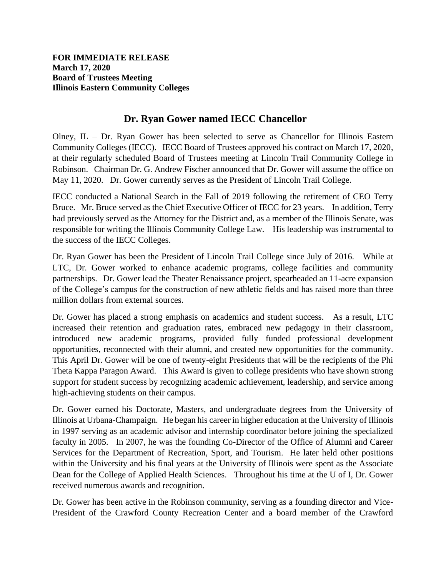## **Dr. Ryan Gower named IECC Chancellor**

Olney, IL – Dr. Ryan Gower has been selected to serve as Chancellor for Illinois Eastern Community Colleges (IECC). IECC Board of Trustees approved his contract on March 17, 2020, at their regularly scheduled Board of Trustees meeting at Lincoln Trail Community College in Robinson. Chairman Dr. G. Andrew Fischer announced that Dr. Gower will assume the office on May 11, 2020. Dr. Gower currently serves as the President of Lincoln Trail College.

IECC conducted a National Search in the Fall of 2019 following the retirement of CEO Terry Bruce. Mr. Bruce served as the Chief Executive Officer of IECC for 23 years. In addition, Terry had previously served as the Attorney for the District and, as a member of the Illinois Senate, was responsible for writing the Illinois Community College Law. His leadership was instrumental to the success of the IECC Colleges.

Dr. Ryan Gower has been the President of Lincoln Trail College since July of 2016. While at LTC, Dr. Gower worked to enhance academic programs, college facilities and community partnerships. Dr. Gower lead the Theater Renaissance project, spearheaded an 11-acre expansion of the College's campus for the construction of new athletic fields and has raised more than three million dollars from external sources.

Dr. Gower has placed a strong emphasis on academics and student success. As a result, LTC increased their retention and graduation rates, embraced new pedagogy in their classroom, introduced new academic programs, provided fully funded professional development opportunities, reconnected with their alumni, and created new opportunities for the community. This April Dr. Gower will be one of twenty-eight Presidents that will be the recipients of the Phi Theta Kappa Paragon Award. This Award is given to college presidents who have shown strong support for student success by recognizing academic achievement, leadership, and service among high-achieving students on their campus.

Dr. Gower earned his Doctorate, Masters, and undergraduate degrees from the University of Illinois at Urbana-Champaign. He began his career in higher education at the University of Illinois in 1997 serving as an academic advisor and internship coordinator before joining the specialized faculty in 2005. In 2007, he was the founding Co-Director of the Office of Alumni and Career Services for the Department of Recreation, Sport, and Tourism. He later held other positions within the University and his final years at the University of Illinois were spent as the Associate Dean for the College of Applied Health Sciences. Throughout his time at the U of I, Dr. Gower received numerous awards and recognition.

Dr. Gower has been active in the Robinson community, serving as a founding director and Vice-President of the Crawford County Recreation Center and a board member of the Crawford